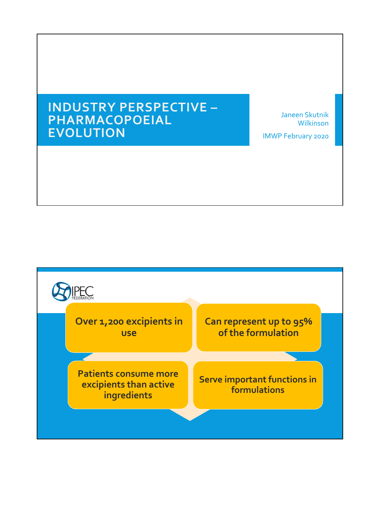# **INDUSTRY PERSPECTIVE – PHARMACOPOEIAL EVOLUTION**

Janeen Skutnik Wilkinson

IMWP February 2020

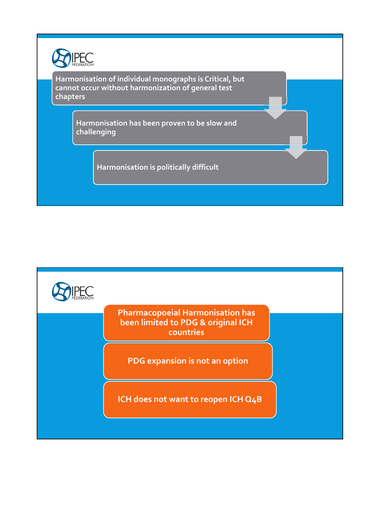

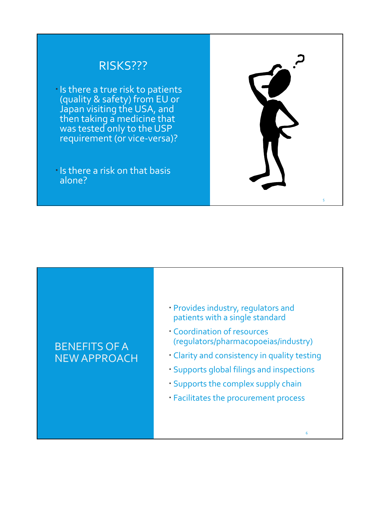## RISKS???

- Is there a true risk to patients (quality & safety) from EU or Japan visiting the USA, and then taking a medicine that was tested only to the USP requirement (or vice-versa)?
- Is there a risk on that basis alone?

# 5

### BENEFITS OF A NEW APPROACH

- Provides industry, regulators and patients with a single standard
- Coordination of resources (regulators/pharmacopoeias/industry)
- Clarity and consistency in quality testing
- Supports global filings and inspections

6

- Supports the complex supply chain
- Facilitates the procurement process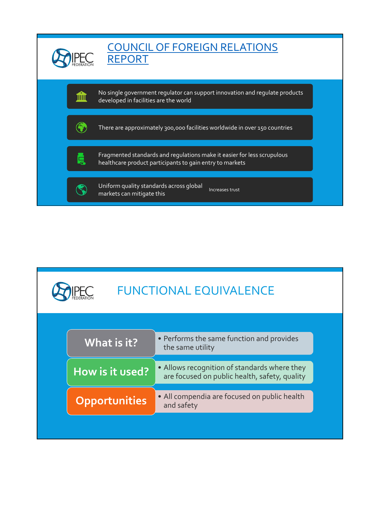

| <b>FUNCTIONAL EQUIVALENCE</b> |                      |                                                                                               |
|-------------------------------|----------------------|-----------------------------------------------------------------------------------------------|
|                               | What is it?          | • Performs the same function and provides<br>the same utility                                 |
|                               | How is it used?      | • Allows recognition of standards where they<br>are focused on public health, safety, quality |
|                               | <b>Opportunities</b> | • All compendia are focused on public health<br>and safety                                    |
|                               |                      |                                                                                               |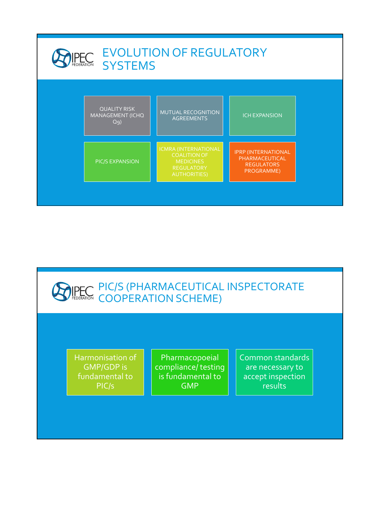